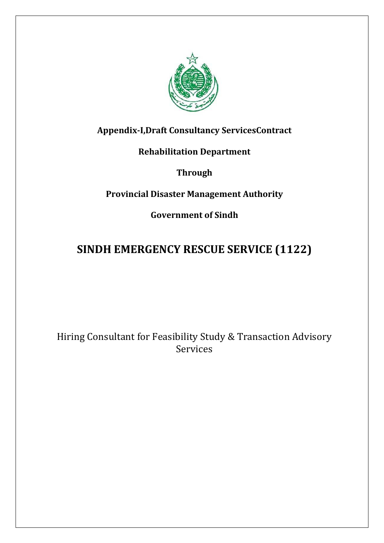

# **Appendix-I,Draft Consultancy ServicesContract**

# **Rehabilitation Department**

**Through**

# **Provincial Disaster Management Authority**

**Government of Sindh**

# **SINDH EMERGENCY RESCUE SERVICE (1122)**

Hiring Consultant for Feasibility Study & Transaction Advisory Services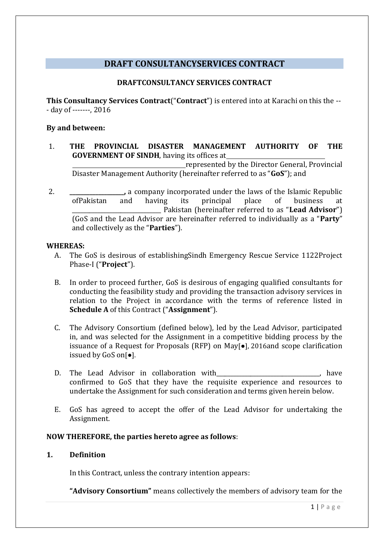# **DRAFT CONSULTANCYSERVICES CONTRACT**

## **DRAFTCONSULTANCY SERVICES CONTRACT**

**This Consultancy Services Contract**("**Contract**") is entered into at Karachi on this the -- - day of -------, 2016

#### **By and between:**

1. **THE PROVINCIAL DISASTER MANAGEMENT AUTHORITY OF THE GOVERNMENT OF SINDH**, having its offices at

represented by the Director General, Provincial Disaster Management Authority (hereinafter referred to as "**GoS**"); and

2. **\_\_\_\_\_\_\_\_\_\_\_\_\_\_\_\_\_\_\_,** a company incorporated under the laws of the Islamic Republic ofPakistan and having its principal place of business at \_\_\_\_\_\_\_\_\_\_\_\_\_\_\_\_\_\_\_\_\_\_\_\_\_\_\_\_\_\_\_ Pakistan (hereinafter referred to as "**Lead Advisor**") (GoS and the Lead Advisor are hereinafter referred to individually as a "**Party**" and collectively as the "**Parties**").

#### **WHEREAS:**

- A. The GoS is desirous of establishingSindh Emergency Rescue Service 1122Project Phase-I ("**Project**").
- B. In order to proceed further, GoS is desirous of engaging qualified consultants for conducting the feasibility study and providing the transaction advisory services in relation to the Project in accordance with the terms of reference listed in **Schedule A** of this Contract ("**Assignment**").
- C. The Advisory Consortium (defined below), led by the Lead Advisor, participated in, and was selected for the Assignment in a competitive bidding process by the issuance of a Request for Proposals (RFP) on May[●], 2016and scope clarification issued by GoS on[●].
- D. The Lead Advisor in collaboration with 1997 100 minutes are provided by the lead Advisor in collaboration with confirmed to GoS that they have the requisite experience and resources to undertake the Assignment for such consideration and terms given herein below.
- E. GoS has agreed to accept the offer of the Lead Advisor for undertaking the Assignment.

#### **NOW THEREFORE, the parties hereto agree as follows**:

#### **1. Definition**

In this Contract, unless the contrary intention appears:

**"Advisory Consortium"** means collectively the members of advisory team for the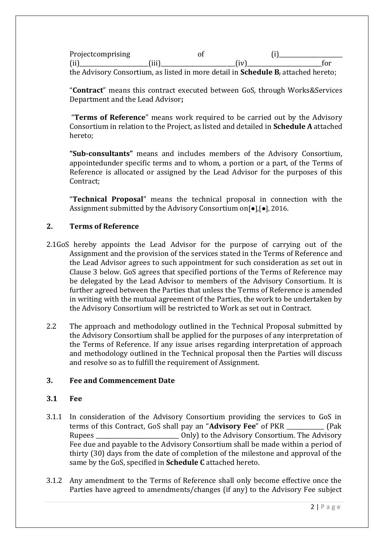Projectcomprising of (i) (ii)\_\_\_\_\_\_\_\_\_\_\_\_\_\_\_\_\_\_\_\_\_\_\_\_(iii)\_\_\_\_\_\_\_\_\_\_\_\_\_\_\_\_\_\_\_\_\_\_\_\_\_\_(iv)\_\_\_\_\_\_\_\_\_\_\_\_\_\_\_\_\_\_\_\_\_\_\_\_\_\_for the Advisory Consortium, as listed in more detail in **Schedule B**, attached hereto;

"**Contract**" means this contract executed between GoS, through Works&Services Department and the Lead Advisor**;**

"**Terms of Reference**" means work required to be carried out by the Advisory Consortium in relation to the Project, as listed and detailed in **Schedule A** attached hereto;

**"Sub-consultants"** means and includes members of the Advisory Consortium, appointedunder specific terms and to whom, a portion or a part, of the Terms of Reference is allocated or assigned by the Lead Advisor for the purposes of this Contract;

"**Technical Proposal**" means the technical proposal in connection with the Assignment submitted by the Advisory Consortium on[●],[●], 2016.

#### **2. Terms of Reference**

- 2.1GoS hereby appoints the Lead Advisor for the purpose of carrying out of the Assignment and the provision of the services stated in the Terms of Reference and the Lead Advisor agrees to such appointment for such consideration as set out in Clause 3 below. GoS agrees that specified portions of the Terms of Reference may be delegated by the Lead Advisor to members of the Advisory Consortium. It is further agreed between the Parties that unless the Terms of Reference is amended in writing with the mutual agreement of the Parties, the work to be undertaken by the Advisory Consortium will be restricted to Work as set out in Contract.
- 2.2 The approach and methodology outlined in the Technical Proposal submitted by the Advisory Consortium shall be applied for the purposes of any interpretation of the Terms of Reference. If any issue arises regarding interpretation of approach and methodology outlined in the Technical proposal then the Parties will discuss and resolve so as to fulfill the requirement of Assignment.

#### **3. Fee and Commencement Date**

#### **3.1 Fee**

- 3.1.1 In consideration of the Advisory Consortium providing the services to GoS in terms of this Contract, GoS shall pay an "**Advisory Fee**" of PKR \_\_\_\_\_\_\_\_\_\_\_\_\_ (Pak Rupees **Rupees Example 2** Only) to the Advisory Consortium. The Advisory Consortium. The Advisory Fee due and payable to the Advisory Consortium shall be made within a period of thirty (30) days from the date of completion of the milestone and approval of the same by the GoS, specified in **Schedule C** attached hereto.
- 3.1.2 Any amendment to the Terms of Reference shall only become effective once the Parties have agreed to amendments/changes (if any) to the Advisory Fee subject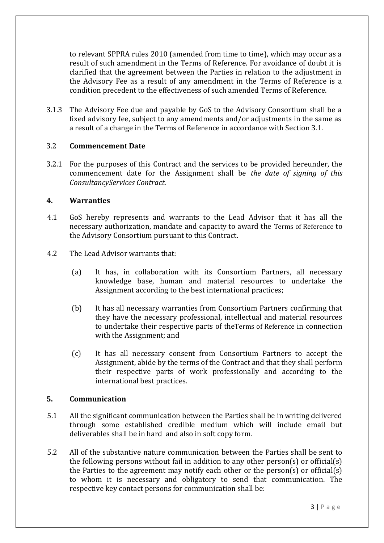to relevant SPPRA rules 2010 (amended from time to time), which may occur as a result of such amendment in the Terms of Reference. For avoidance of doubt it is clarified that the agreement between the Parties in relation to the adjustment in the Advisory Fee as a result of any amendment in the Terms of Reference is a condition precedent to the effectiveness of such amended Terms of Reference.

3.1.3 The Advisory Fee due and payable by GoS to the Advisory Consortium shall be a fixed advisory fee, subject to any amendments and/or adjustments in the same as a result of a change in the Terms of Reference in accordance with Section 3.1.

#### 3.2 **Commencement Date**

3.2.1 For the purposes of this Contract and the services to be provided hereunder, the commencement date for the Assignment shall be *the date of signing of this ConsultancyServices Contract.* 

#### **4. Warranties**

- 4.1 GoS hereby represents and warrants to the Lead Advisor that it has all the necessary authorization, mandate and capacity to award the Terms of Reference to the Advisory Consortium pursuant to this Contract.
- 4.2 The Lead Advisor warrants that:
	- (a) It has, in collaboration with its Consortium Partners, all necessary knowledge base, human and material resources to undertake the Assignment according to the best international practices;
	- (b) It has all necessary warranties from Consortium Partners confirming that they have the necessary professional, intellectual and material resources to undertake their respective parts of theTerms of Reference in connection with the Assignment; and
	- (c) It has all necessary consent from Consortium Partners to accept the Assignment, abide by the terms of the Contract and that they shall perform their respective parts of work professionally and according to the international best practices.

# **5. Communication**

- 5.1 All the significant communication between the Parties shall be in writing delivered through some established credible medium which will include email but deliverables shall be in hard and also in soft copy form.
- 5.2 All of the substantive nature communication between the Parties shall be sent to the following persons without fail in addition to any other person(s) or official(s) the Parties to the agreement may notify each other or the person(s) or official(s) to whom it is necessary and obligatory to send that communication. The respective key contact persons for communication shall be: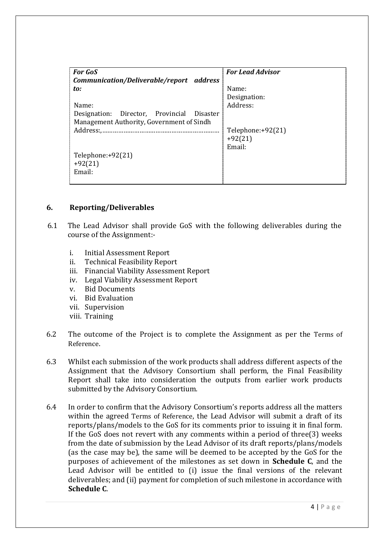| <b>For GoS</b>                             | <b>For Lead Advisor</b> |
|--------------------------------------------|-------------------------|
| Communication/Deliverable/report address   |                         |
| to:                                        | Name:                   |
|                                            | Designation:            |
| Name:                                      | Address:                |
| Designation: Director, Provincial Disaster |                         |
| Management Authority, Government of Sindh  |                         |
| Address:,                                  | Telephone: $+92(21)$    |
|                                            | $+92(21)$               |
|                                            | Email:                  |
| Telephone: $+92(21)$                       |                         |
| $+92(21)$                                  |                         |
| Email:                                     |                         |
|                                            |                         |

#### **6. Reporting/Deliverables**

- 6.1 The Lead Advisor shall provide GoS with the following deliverables during the course of the Assignment:
	- i. Initial Assessment Report
	- ii. Technical Feasibility Report
	- iii. Financial Viability Assessment Report
	- iv. Legal Viability Assessment Report
	- v. Bid Documents
	- vi. Bid Evaluation
	- vii. Supervision
	- viii. Training
- 6.2 The outcome of the Project is to complete the Assignment as per the Terms of Reference.
- 6.3 Whilst each submission of the work products shall address different aspects of the Assignment that the Advisory Consortium shall perform, the Final Feasibility Report shall take into consideration the outputs from earlier work products submitted by the Advisory Consortium.
- 6.4 In order to confirm that the Advisory Consortium's reports address all the matters within the agreed Terms of Reference, the Lead Advisor will submit a draft of its reports/plans/models to the GoS for its comments prior to issuing it in final form. If the GoS does not revert with any comments within a period of three(3) weeks from the date of submission by the Lead Advisor of its draft reports/plans/models (as the case may be), the same will be deemed to be accepted by the GoS for the purposes of achievement of the milestones as set down in **Schedule C**, and the Lead Advisor will be entitled to (i) issue the final versions of the relevant deliverables; and (ii) payment for completion of such milestone in accordance with **Schedule C**.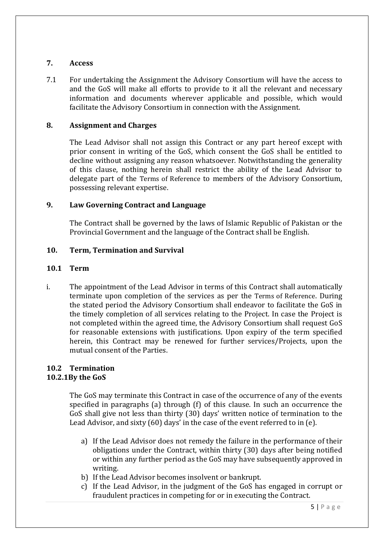#### **7. Access**

7.1 For undertaking the Assignment the Advisory Consortium will have the access to and the GoS will make all efforts to provide to it all the relevant and necessary information and documents wherever applicable and possible, which would facilitate the Advisory Consortium in connection with the Assignment.

# **8. Assignment and Charges**

The Lead Advisor shall not assign this Contract or any part hereof except with prior consent in writing of the GoS, which consent the GoS shall be entitled to decline without assigning any reason whatsoever. Notwithstanding the generality of this clause, nothing herein shall restrict the ability of the Lead Advisor to delegate part of the Terms of Reference to members of the Advisory Consortium, possessing relevant expertise.

# **9. Law Governing Contract and Language**

The Contract shall be governed by the laws of Islamic Republic of Pakistan or the Provincial Government and the language of the Contract shall be English.

# **10. Term, Termination and Survival**

## **10.1 Term**

i. The appointment of the Lead Advisor in terms of this Contract shall automatically terminate upon completion of the services as per the Terms of Reference. During the stated period the Advisory Consortium shall endeavor to facilitate the GoS in the timely completion of all services relating to the Project. In case the Project is not completed within the agreed time, the Advisory Consortium shall request GoS for reasonable extensions with justifications. Upon expiry of the term specified herein, this Contract may be renewed for further services/Projects, upon the mutual consent of the Parties.

#### **10.2 Termination 10.2.1By the GoS**

The GoS may terminate this Contract in case of the occurrence of any of the events specified in paragraphs (a) through (f) of this clause. In such an occurrence the GoS shall give not less than thirty (30) days' written notice of termination to the Lead Advisor, and sixty (60) days' in the case of the event referred to in (e).

- a) If the Lead Advisor does not remedy the failure in the performance of their obligations under the Contract, within thirty (30) days after being notified or within any further period as the GoS may have subsequently approved in writing.
- b) If the Lead Advisor becomes insolvent or bankrupt.
- c) If the Lead Advisor, in the judgment of the GoS has engaged in corrupt or fraudulent practices in competing for or in executing the Contract.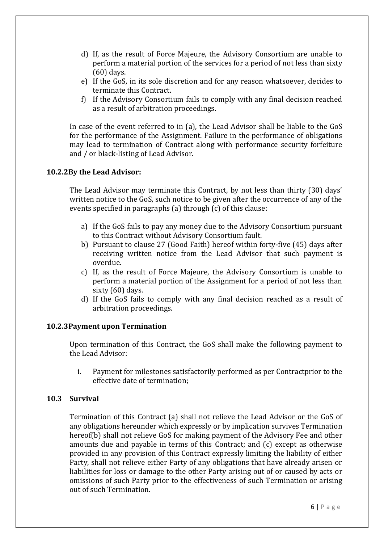- d) If, as the result of Force Majeure, the Advisory Consortium are unable to perform a material portion of the services for a period of not less than sixty (60) days.
- e) If the GoS, in its sole discretion and for any reason whatsoever, decides to terminate this Contract.
- f) If the Advisory Consortium fails to comply with any final decision reached as a result of arbitration proceedings.

In case of the event referred to in (a), the Lead Advisor shall be liable to the GoS for the performance of the Assignment. Failure in the performance of obligations may lead to termination of Contract along with performance security forfeiture and / or black-listing of Lead Advisor.

# **10.2.2By the Lead Advisor:**

The Lead Advisor may terminate this Contract, by not less than thirty (30) days' written notice to the GoS, such notice to be given after the occurrence of any of the events specified in paragraphs (a) through (c) of this clause:

- a) If the GoS fails to pay any money due to the Advisory Consortium pursuant to this Contract without Advisory Consortium fault.
- b) Pursuant to clause 27 (Good Faith) hereof within forty-five (45) days after receiving written notice from the Lead Advisor that such payment is overdue.
- c) If, as the result of Force Majeure, the Advisory Consortium is unable to perform a material portion of the Assignment for a period of not less than sixty (60) days.
- d) If the GoS fails to comply with any final decision reached as a result of arbitration proceedings.

#### **10.2.3Payment upon Termination**

Upon termination of this Contract, the GoS shall make the following payment to the Lead Advisor:

i. Payment for milestones satisfactorily performed as per Contractprior to the effective date of termination;

#### **10.3 Survival**

Termination of this Contract (a) shall not relieve the Lead Advisor or the GoS of any obligations hereunder which expressly or by implication survives Termination hereof(b) shall not relieve GoS for making payment of the Advisory Fee and other amounts due and payable in terms of this Contract; and (c) except as otherwise provided in any provision of this Contract expressly limiting the liability of either Party, shall not relieve either Party of any obligations that have already arisen or liabilities for loss or damage to the other Party arising out of or caused by acts or omissions of such Party prior to the effectiveness of such Termination or arising out of such Termination.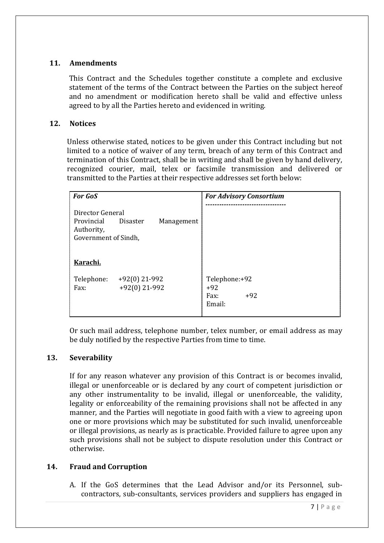# **11. Amendments**

This Contract and the Schedules together constitute a complete and exclusive statement of the terms of the Contract between the Parties on the subject hereof and no amendment or modification hereto shall be valid and effective unless agreed to by all the Parties hereto and evidenced in writing.

# **12. Notices**

Unless otherwise stated, notices to be given under this Contract including but not limited to a notice of waiver of any term, breach of any term of this Contract and termination of this Contract, shall be in writing and shall be given by hand delivery, recognized courier, mail, telex or facsimile transmission and delivered or transmitted to the Parties at their respective addresses set forth below:

| <b>For GoS</b>                                                       |                                  | <b>For Advisory Consortium</b>                    |
|----------------------------------------------------------------------|----------------------------------|---------------------------------------------------|
| Director General<br>Provincial<br>Authority,<br>Government of Sindh, | <b>Disaster</b><br>Management    |                                                   |
| Karachi.                                                             |                                  |                                                   |
| Telephone:<br>Fax:                                                   | $+92(0)$ 21-992<br>+92(0) 21-992 | Telephone:+92<br>$+92$<br>$+92$<br>Fax:<br>Email: |

Or such mail address, telephone number, telex number, or email address as may be duly notified by the respective Parties from time to time.

#### **13. Severability**

If for any reason whatever any provision of this Contract is or becomes invalid, illegal or unenforceable or is declared by any court of competent jurisdiction or any other instrumentality to be invalid, illegal or unenforceable, the validity, legality or enforceability of the remaining provisions shall not be affected in any manner, and the Parties will negotiate in good faith with a view to agreeing upon one or more provisions which may be substituted for such invalid, unenforceable or illegal provisions, as nearly as is practicable. Provided failure to agree upon any such provisions shall not be subject to dispute resolution under this Contract or otherwise.

#### **14. Fraud and Corruption**

A. If the GoS determines that the Lead Advisor and/or its Personnel, subcontractors, sub-consultants, services providers and suppliers has engaged in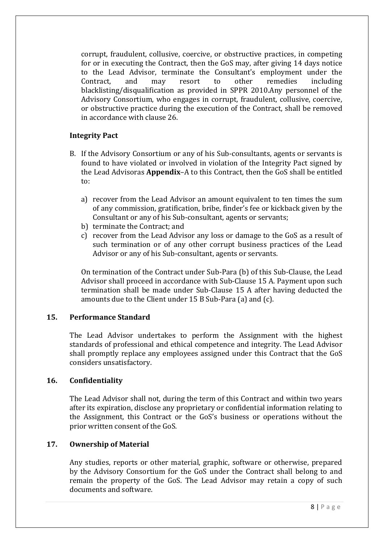corrupt, fraudulent, collusive, coercive, or obstructive practices, in competing for or in executing the Contract, then the GoS may, after giving 14 days notice to the Lead Advisor, terminate the Consultant's employment under the Contract, and may resort to other remedies including blacklisting/disqualification as provided in SPPR 2010.Any personnel of the Advisory Consortium, who engages in corrupt, fraudulent, collusive, coercive, or obstructive practice during the execution of the Contract, shall be removed in accordance with clause 26.

#### **Integrity Pact**

- B. If the Advisory Consortium or any of his Sub-consultants, agents or servants is found to have violated or involved in violation of the Integrity Pact signed by the Lead Advisoras **Appendix**–A to this Contract, then the GoS shall be entitled to:
	- a) recover from the Lead Advisor an amount equivalent to ten times the sum of any commission, gratification, bribe, finder's fee or kickback given by the Consultant or any of his Sub-consultant, agents or servants;
	- b) terminate the Contract; and
	- c) recover from the Lead Advisor any loss or damage to the GoS as a result of such termination or of any other corrupt business practices of the Lead Advisor or any of his Sub-consultant, agents or servants.

On termination of the Contract under Sub-Para (b) of this Sub-Clause, the Lead Advisor shall proceed in accordance with Sub-Clause 15 A. Payment upon such termination shall be made under Sub-Clause 15 A after having deducted the amounts due to the Client under 15 B Sub-Para (a) and (c).

#### **15. Performance Standard**

The Lead Advisor undertakes to perform the Assignment with the highest standards of professional and ethical competence and integrity. The Lead Advisor shall promptly replace any employees assigned under this Contract that the GoS considers unsatisfactory.

#### **16. Confidentiality**

The Lead Advisor shall not, during the term of this Contract and within two years after its expiration, disclose any proprietary or confidential information relating to the Assignment, this Contract or the GoS's business or operations without the prior written consent of the GoS.

#### **17. Ownership of Material**

Any studies, reports or other material, graphic, software or otherwise, prepared by the Advisory Consortium for the GoS under the Contract shall belong to and remain the property of the GoS. The Lead Advisor may retain a copy of such documents and software.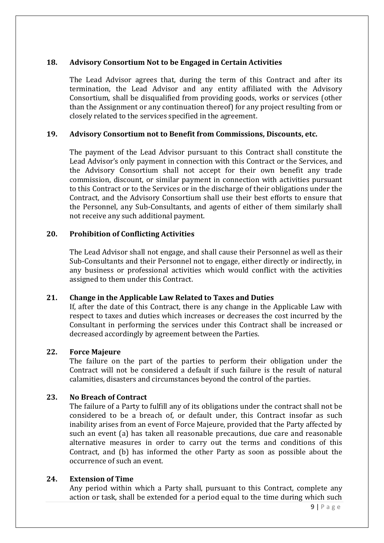# **18. Advisory Consortium Not to be Engaged in Certain Activities**

The Lead Advisor agrees that, during the term of this Contract and after its termination, the Lead Advisor and any entity affiliated with the Advisory Consortium, shall be disqualified from providing goods, works or services (other than the Assignment or any continuation thereof) for any project resulting from or closely related to the services specified in the agreement.

#### **19. Advisory Consortium not to Benefit from Commissions, Discounts, etc.**

The payment of the Lead Advisor pursuant to this Contract shall constitute the Lead Advisor's only payment in connection with this Contract or the Services, and the Advisory Consortium shall not accept for their own benefit any trade commission, discount, or similar payment in connection with activities pursuant to this Contract or to the Services or in the discharge of their obligations under the Contract, and the Advisory Consortium shall use their best efforts to ensure that the Personnel, any Sub-Consultants, and agents of either of them similarly shall not receive any such additional payment.

# **20. Prohibition of Conflicting Activities**

The Lead Advisor shall not engage, and shall cause their Personnel as well as their Sub-Consultants and their Personnel not to engage, either directly or indirectly, in any business or professional activities which would conflict with the activities assigned to them under this Contract.

#### **21. Change in the Applicable Law Related to Taxes and Duties**

If, after the date of this Contract, there is any change in the Applicable Law with respect to taxes and duties which increases or decreases the cost incurred by the Consultant in performing the services under this Contract shall be increased or decreased accordingly by agreement between the Parties.

#### **22. Force Majeure**

The failure on the part of the parties to perform their obligation under the Contract will not be considered a default if such failure is the result of natural calamities, disasters and circumstances beyond the control of the parties.

#### **23. No Breach of Contract**

The failure of a Party to fulfill any of its obligations under the contract shall not be considered to be a breach of, or default under, this Contract insofar as such inability arises from an event of Force Majeure, provided that the Party affected by such an event (a) has taken all reasonable precautions, due care and reasonable alternative measures in order to carry out the terms and conditions of this Contract, and (b) has informed the other Party as soon as possible about the occurrence of such an event.

#### **24. Extension of Time**

Any period within which a Party shall, pursuant to this Contract, complete any action or task, shall be extended for a period equal to the time during which such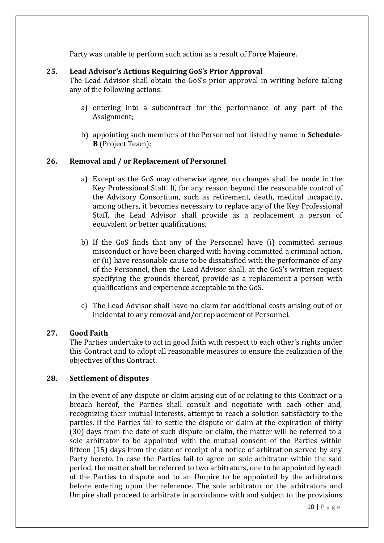Party was unable to perform such action as a result of Force Majeure.

# **25. Lead Advisor's Actions Requiring GoS's Prior Approval**

The Lead Advisor shall obtain the GoS's prior approval in writing before taking any of the following actions:

- a) entering into a subcontract for the performance of any part of the Assignment;
- b) appointing such members of the Personnel not listed by name in **Schedule-B** (Project Team);

# **26. Removal and / or Replacement of Personnel**

- a) Except as the GoS may otherwise agree, no changes shall be made in the Key Professional Staff. If, for any reason beyond the reasonable control of the Advisory Consortium, such as retirement, death, medical incapacity, among others, it becomes necessary to replace any of the Key Professional Staff, the Lead Advisor shall provide as a replacement a person of equivalent or better qualifications.
- b) If the GoS finds that any of the Personnel have (i) committed serious misconduct or have been charged with having committed a criminal action, or (ii) have reasonable cause to be dissatisfied with the performance of any of the Personnel, then the Lead Advisor shall, at the GoS's written request specifying the grounds thereof, provide as a replacement a person with qualifications and experience acceptable to the GoS.
- c) The Lead Advisor shall have no claim for additional costs arising out of or incidental to any removal and/or replacement of Personnel.

#### **27. Good Faith**

The Parties undertake to act in good faith with respect to each other's rights under this Contract and to adopt all reasonable measures to ensure the realization of the objectives of this Contract.

#### **28. Settlement of disputes**

In the event of any dispute or claim arising out of or relating to this Contract or a breach hereof, the Parties shall consult and negotiate with each other and, recognizing their mutual interests, attempt to reach a solution satisfactory to the parties. If the Parties fail to settle the dispute or claim at the expiration of thirty (30) days from the date of such dispute or claim, the matter will be referred to a sole arbitrator to be appointed with the mutual consent of the Parties within fifteen (15) days from the date of receipt of a notice of arbitration served by any Party hereto. In case the Parties fail to agree on sole arbitrator within the said period, the matter shall be referred to two arbitrators, one to be appointed by each of the Parties to dispute and to an Umpire to be appointed by the arbitrators before entering upon the reference. The sole arbitrator or the arbitrators and Umpire shall proceed to arbitrate in accordance with and subject to the provisions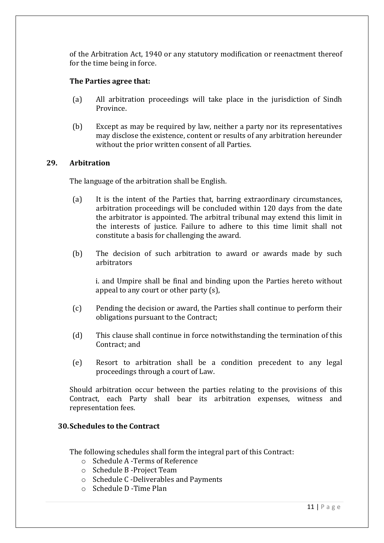of the Arbitration Act, 1940 or any statutory modification or reenactment thereof for the time being in force.

## **The Parties agree that:**

- (a) All arbitration proceedings will take place in the jurisdiction of Sindh Province.
- (b) Except as may be required by law, neither a party nor its representatives may disclose the existence, content or results of any arbitration hereunder without the prior written consent of all Parties.

#### **29. Arbitration**

The language of the arbitration shall be English.

- (a) It is the intent of the Parties that, barring extraordinary circumstances, arbitration proceedings will be concluded within 120 days from the date the arbitrator is appointed. The arbitral tribunal may extend this limit in the interests of justice. Failure to adhere to this time limit shall not constitute a basis for challenging the award.
- (b) The decision of such arbitration to award or awards made by such arbitrators

i. and Umpire shall be final and binding upon the Parties hereto without appeal to any court or other party (s),

- (c) Pending the decision or award, the Parties shall continue to perform their obligations pursuant to the Contract;
- (d) This clause shall continue in force notwithstanding the termination of this Contract; and
- (e) Resort to arbitration shall be a condition precedent to any legal proceedings through a court of Law.

Should arbitration occur between the parties relating to the provisions of this Contract, each Party shall bear its arbitration expenses, witness and representation fees.

# **30.Schedules to the Contract**

The following schedules shall form the integral part of this Contract:

- o Schedule A -Terms of Reference
- o Schedule B -Project Team
- o Schedule C -Deliverables and Payments
- o Schedule D -Time Plan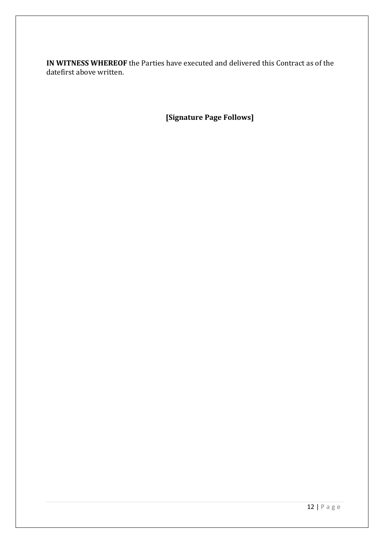**IN WITNESS WHEREOF** the Parties have executed and delivered this Contract as of the datefirst above written.

**[Signature Page Follows]**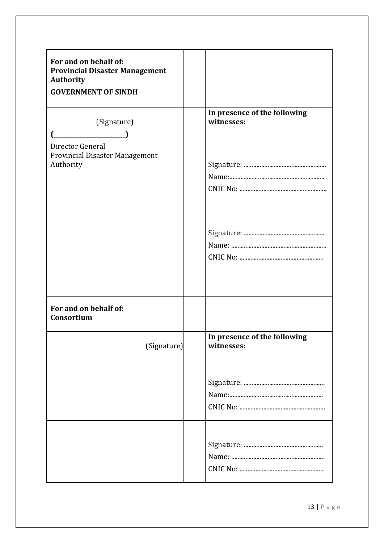| For and on behalf of:<br><b>Provincial Disaster Management</b><br><b>Authority</b><br><b>GOVERNMENT OF SINDH</b> |                                            |
|------------------------------------------------------------------------------------------------------------------|--------------------------------------------|
| (Signature)<br>Director General<br>Provincial Disaster Management<br>Authority                                   | In presence of the following<br>witnesses: |
|                                                                                                                  |                                            |
| For and on behalf of:<br>Consortium                                                                              |                                            |
| (Signature)                                                                                                      | In presence of the following<br>witnesses: |
|                                                                                                                  |                                            |
|                                                                                                                  |                                            |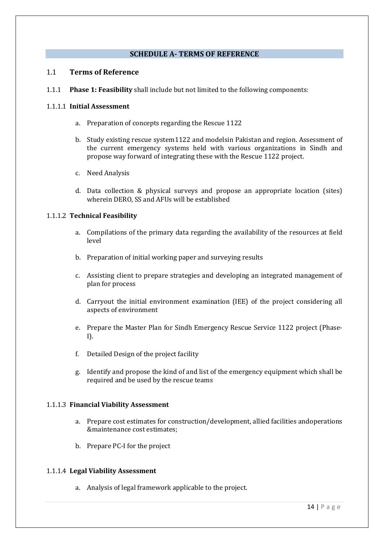#### **SCHEDULE A- TERMS OF REFERENCE**

#### 1.1 **Terms of Reference**

1.1.1 **Phase 1: Feasibility** shall include but not limited to the following components:

#### 1.1.1.1 **Initial Assessment**

- a. Preparation of concepts regarding the Rescue 1122
- b. Study existing rescue system1122 and modelsin Pakistan and region. Assessment of the current emergency systems held with various organizations in Sindh and propose way forward of integrating these with the Rescue 1122 project.
- c. Need Analysis
- d. Data collection & physical surveys and propose an appropriate location (sites) wherein DERO, SS and AFUs will be established

#### 1.1.1.2 **Technical Feasibility**

- a. Compilations of the primary data regarding the availability of the resources at field level
- b. Preparation of initial working paper and surveying results
- c. Assisting client to prepare strategies and developing an integrated management of plan for process
- d. Carryout the initial environment examination (IEE) of the project considering all aspects of environment
- e. Prepare the Master Plan for Sindh Emergency Rescue Service 1122 project (Phase-I).
- f. Detailed Design of the project facility
- g. Identify and propose the kind of and list of the emergency equipment which shall be required and be used by the rescue teams

#### 1.1.1.3 **Financial Viability Assessment**

- a. Prepare cost estimates for construction/development, allied facilities andoperations &maintenance cost estimates;
- b. Prepare PC-I for the project

#### 1.1.1.4 **Legal Viability Assessment**

a. Analysis of legal framework applicable to the project.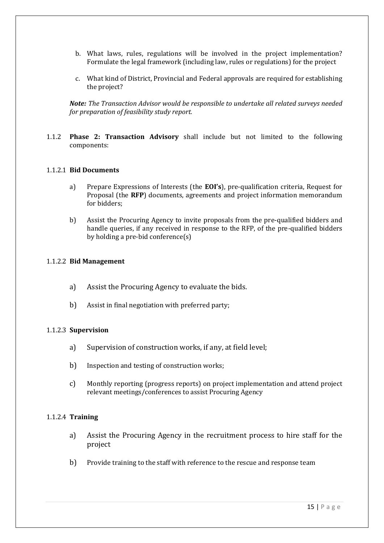- b. What laws, rules, regulations will be involved in the project implementation? Formulate the legal framework (including law, rules or regulations) for the project
- c. What kind of District, Provincial and Federal approvals are required for establishing the project?

*Note: The Transaction Advisor would be responsible to undertake all related surveys needed for preparation of feasibility study report.* 

1.1.2 **Phase 2: Transaction Advisory** shall include but not limited to the following components:

#### 1.1.2.1 **Bid Documents**

- a) Prepare Expressions of Interests (the **EOI's**), pre-qualification criteria, Request for Proposal (the **RFP**) documents, agreements and project information memorandum for bidders;
- b) Assist the Procuring Agency to invite proposals from the pre-qualified bidders and handle queries, if any received in response to the RFP, of the pre-qualified bidders by holding a pre-bid conference(s)

#### 1.1.2.2 **Bid Management**

- a) Assist the Procuring Agency to evaluate the bids.
- b) Assist in final negotiation with preferred party;

#### 1.1.2.3 **Supervision**

- a) Supervision of construction works, if any, at field level;
- b) Inspection and testing of construction works;
- c) Monthly reporting (progress reports) on project implementation and attend project relevant meetings/conferences to assist Procuring Agency

#### 1.1.2.4 **Training**

- a) Assist the Procuring Agency in the recruitment process to hire staff for the project
- b) Provide training to the staff with reference to the rescue and response team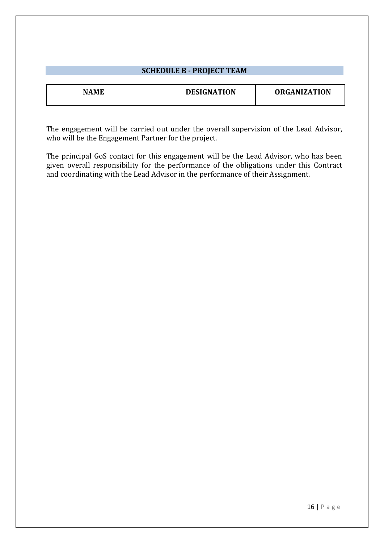| <b>SCHEDULE B - PROJECT TEAM</b> |                    |                     |
|----------------------------------|--------------------|---------------------|
| <b>NAME</b>                      | <b>DESIGNATION</b> | <b>ORGANIZATION</b> |
|                                  |                    |                     |

The engagement will be carried out under the overall supervision of the Lead Advisor, who will be the Engagement Partner for the project.

The principal GoS contact for this engagement will be the Lead Advisor, who has been given overall responsibility for the performance of the obligations under this Contract and coordinating with the Lead Advisor in the performance of their Assignment.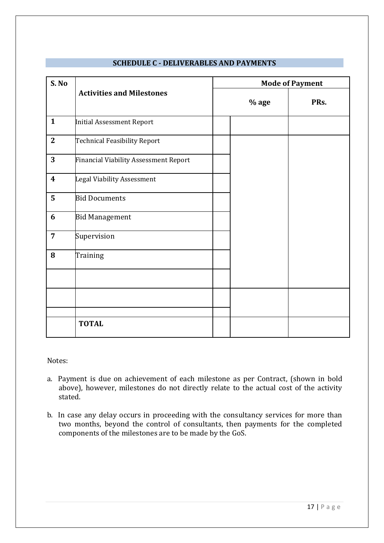| S. No            | <b>Activities and Milestones</b>             | <b>Mode of Payment</b> |      |
|------------------|----------------------------------------------|------------------------|------|
|                  |                                              | $%$ age                | PRs. |
| $\mathbf{1}$     | <b>Initial Assessment Report</b>             |                        |      |
| $\overline{2}$   | <b>Technical Feasibility Report</b>          |                        |      |
| 3                | <b>Financial Viability Assessment Report</b> |                        |      |
| $\boldsymbol{4}$ | <b>Legal Viability Assessment</b>            |                        |      |
| 5                | <b>Bid Documents</b>                         |                        |      |
| 6                | <b>Bid Management</b>                        |                        |      |
| $\overline{7}$   | Supervision                                  |                        |      |
| $\bf{8}$         | Training                                     |                        |      |
|                  |                                              |                        |      |
|                  |                                              |                        |      |
|                  |                                              |                        |      |
|                  | <b>TOTAL</b>                                 |                        |      |

# **SCHEDULE C - DELIVERABLES AND PAYMENTS**

Notes:

- a. Payment is due on achievement of each milestone as per Contract, (shown in bold above), however, milestones do not directly relate to the actual cost of the activity stated.
- b. In case any delay occurs in proceeding with the consultancy services for more than two months, beyond the control of consultants, then payments for the completed components of the milestones are to be made by the GoS.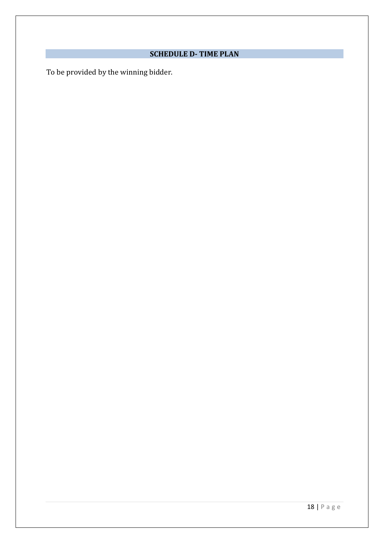# **SCHEDULE D- TIME PLAN**

To be provided by the winning bidder.